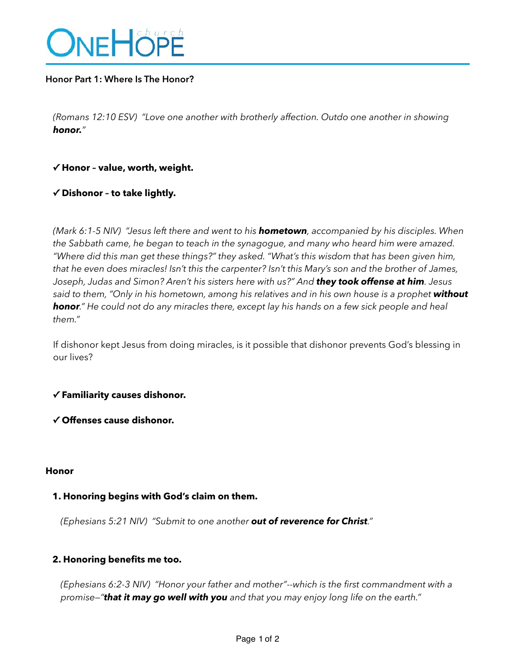

# **Honor Part 1: Where Is The Honor?**

*(Romans 12:10 ESV) "Love one another with brotherly affection. Outdo one another in showing honor."* 

# **✓ Honor – value, worth, weight.**

# **✓ Dishonor – to take lightly.**

*(Mark 6:1-5 NIV) "Jesus left there and went to his hometown, accompanied by his disciples. When the Sabbath came, he began to teach in the synagogue, and many who heard him were amazed. "Where did this man get these things?" they asked. "What's this wisdom that has been given him, that he even does miracles! Isn't this the carpenter? Isn't this Mary's son and the brother of James, Joseph, Judas and Simon? Aren't his sisters here with us?" And they took offense at him. Jesus*  said to them, "Only in his hometown, among his relatives and in his own house is a prophet without *honor." He could not do any miracles there, except lay his hands on a few sick people and heal them."* 

If dishonor kept Jesus from doing miracles, is it possible that dishonor prevents God's blessing in our lives?

## **✓ Familiarity causes dishonor.**

**✓ Offenses cause dishonor.** 

#### **Honor**

## **1. Honoring begins with God's claim on them.**

*(Ephesians 5:21 NIV) "Submit to one another out of reverence for Christ."* 

## **2. Honoring benefits me too.**

*(Ephesians 6:2-3 NIV) "Honor your father and mother"--which is the first commandment with a promise—"that it may go well with you and that you may enjoy long life on the earth."*